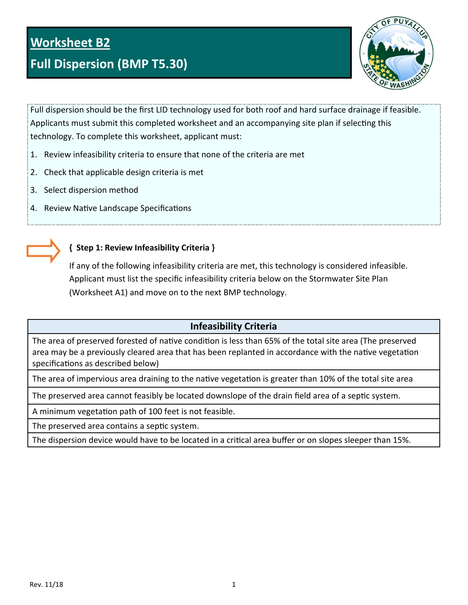# **Full Dispersion (BMP T5.30)**



Full dispersion should be the first LID technology used for both roof and hard surface drainage if feasible. Applicants must submit this completed worksheet and an accompanying site plan if selecting this technology. To complete this worksheet, applicant must:

- 1. Review infeasibility criteria to ensure that none of the criteria are met
- 2. Check that applicable design criteria is met
- 3. Select dispersion method
- 4. Review Native Landscape Specifications



## **{ Step 1: Review Infeasibility Criteria }**

If any of the following infeasibility criteria are met, this technology is considered infeasible. Applicant must list the specific infeasibility criteria below on the Stormwater Site Plan (Worksheet A1) and move on to the next BMP technology.

## **Infeasibility Criteria**

The area of preserved forested of native condition is less than 65% of the total site area (The preserved area may be a previously cleared area that has been replanted in accordance with the native vegetation specifications as described below)

The area of impervious area draining to the native vegetation is greater than 10% of the total site area

The preserved area cannot feasibly be located downslope of the drain field area of a septic system.

A minimum vegetation path of 100 feet is not feasible.

The preserved area contains a septic system.

The dispersion device would have to be located in a critical area buffer or on slopes sleeper than 15%.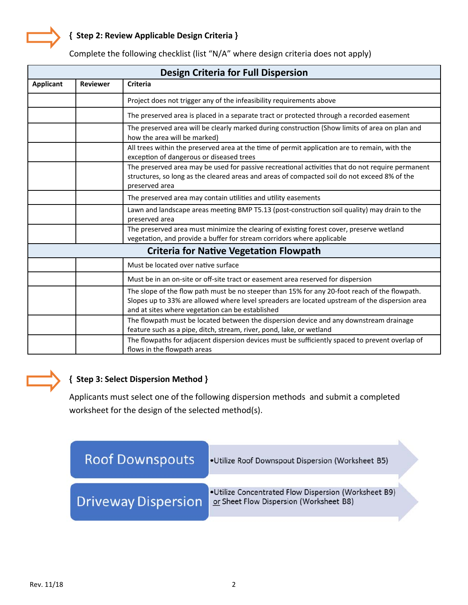

| <b>Design Criteria for Full Dispersion</b> |                 |                                                                                                                                                                                                                                                     |  |
|--------------------------------------------|-----------------|-----------------------------------------------------------------------------------------------------------------------------------------------------------------------------------------------------------------------------------------------------|--|
| <b>Applicant</b>                           | <b>Reviewer</b> | <b>Criteria</b>                                                                                                                                                                                                                                     |  |
|                                            |                 | Project does not trigger any of the infeasibility requirements above                                                                                                                                                                                |  |
|                                            |                 | The preserved area is placed in a separate tract or protected through a recorded easement                                                                                                                                                           |  |
|                                            |                 | The preserved area will be clearly marked during construction (Show limits of area on plan and<br>how the area will be marked)                                                                                                                      |  |
|                                            |                 | All trees within the preserved area at the time of permit application are to remain, with the<br>exception of dangerous or diseased trees                                                                                                           |  |
|                                            |                 | The preserved area may be used for passive recreational activities that do not require permanent<br>structures, so long as the cleared areas and areas of compacted soil do not exceed 8% of the<br>preserved area                                  |  |
|                                            |                 | The preserved area may contain utilities and utility easements                                                                                                                                                                                      |  |
|                                            |                 | Lawn and landscape areas meeting BMP T5.13 (post-construction soil quality) may drain to the<br>preserved area                                                                                                                                      |  |
|                                            |                 | The preserved area must minimize the clearing of existing forest cover, preserve wetland<br>vegetation, and provide a buffer for stream corridors where applicable                                                                                  |  |
|                                            |                 | <b>Criteria for Native Vegetation Flowpath</b>                                                                                                                                                                                                      |  |
|                                            |                 | Must be located over native surface                                                                                                                                                                                                                 |  |
|                                            |                 | Must be in an on-site or off-site tract or easement area reserved for dispersion                                                                                                                                                                    |  |
|                                            |                 | The slope of the flow path must be no steeper than 15% for any 20-foot reach of the flowpath.<br>Slopes up to 33% are allowed where level spreaders are located upstream of the dispersion area<br>and at sites where vegetation can be established |  |
|                                            |                 | The flowpath must be located between the dispersion device and any downstream drainage<br>feature such as a pipe, ditch, stream, river, pond, lake, or wetland                                                                                      |  |
|                                            |                 | The flowpaths for adjacent dispersion devices must be sufficiently spaced to prevent overlap of<br>flows in the flowpath areas                                                                                                                      |  |

Complete the following checklist (list "N/A" where design criteria does not apply)

## **{ Step 3: Select Dispersion Method }**

Applicants must select one of the following dispersion methods and submit a completed worksheet for the design of the selected method(s).

| <b>Roof Downspouts</b>     | .Utilize Roof Downspout Dispersion (Worksheet B5)                                               |
|----------------------------|-------------------------------------------------------------------------------------------------|
| <b>Driveway Dispersion</b> | •Utilize Concentrated Flow Dispersion (Worksheet B9)<br>or Sheet Flow Dispersion (Worksheet B8) |